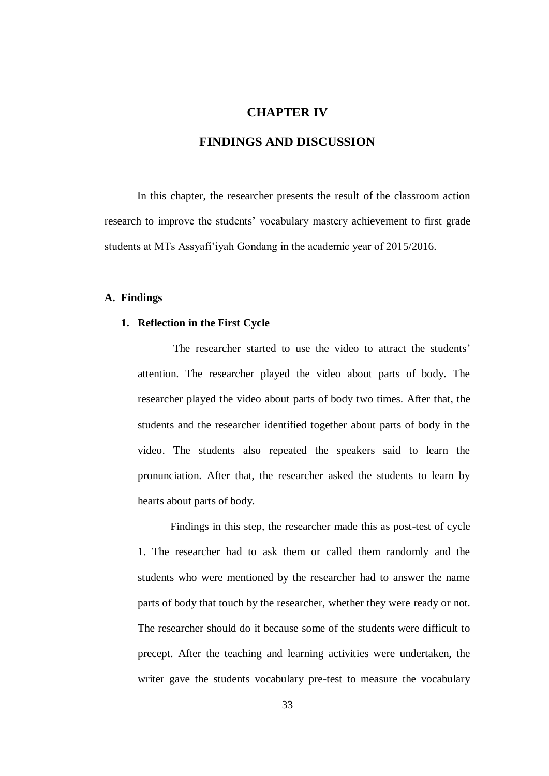# **CHAPTER IV**

# **FINDINGS AND DISCUSSION**

In this chapter, the researcher presents the result of the classroom action research to improve the students' vocabulary mastery achievement to first grade students at MTs Assyafi'iyah Gondang in the academic year of 2015/2016.

### **A. Findings**

### **1. Reflection in the First Cycle**

The researcher started to use the video to attract the students' attention. The researcher played the video about parts of body. The researcher played the video about parts of body two times. After that, the students and the researcher identified together about parts of body in the video. The students also repeated the speakers said to learn the pronunciation. After that, the researcher asked the students to learn by hearts about parts of body.

Findings in this step, the researcher made this as post-test of cycle 1. The researcher had to ask them or called them randomly and the students who were mentioned by the researcher had to answer the name parts of body that touch by the researcher, whether they were ready or not. The researcher should do it because some of the students were difficult to precept. After the teaching and learning activities were undertaken, the writer gave the students vocabulary pre-test to measure the vocabulary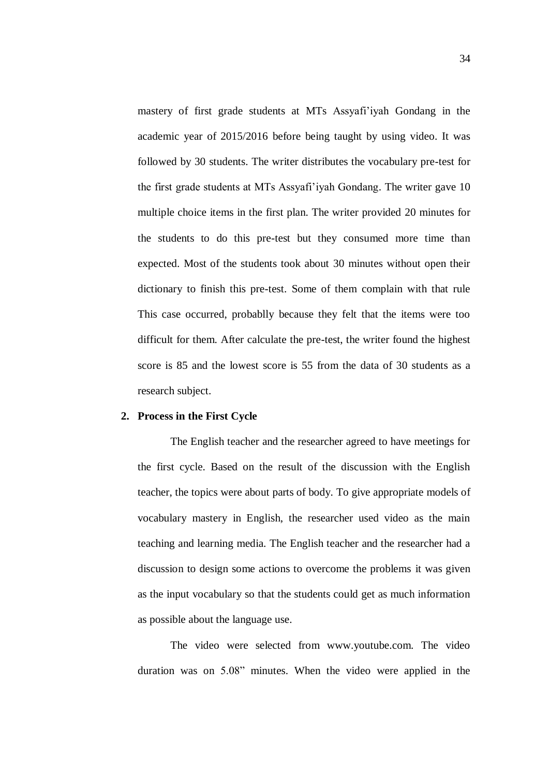mastery of first grade students at MTs Assyafi'iyah Gondang in the academic year of 2015/2016 before being taught by using video. It was followed by 30 students. The writer distributes the vocabulary pre-test for the first grade students at MTs Assyafi'iyah Gondang. The writer gave 10 multiple choice items in the first plan. The writer provided 20 minutes for the students to do this pre-test but they consumed more time than expected. Most of the students took about 30 minutes without open their dictionary to finish this pre-test. Some of them complain with that rule This case occurred, probablly because they felt that the items were too difficult for them. After calculate the pre-test, the writer found the highest score is 85 and the lowest score is 55 from the data of 30 students as a research subject.

#### **2. Process in the First Cycle**

The English teacher and the researcher agreed to have meetings for the first cycle. Based on the result of the discussion with the English teacher, the topics were about parts of body. To give appropriate models of vocabulary mastery in English, the researcher used video as the main teaching and learning media. The English teacher and the researcher had a discussion to design some actions to overcome the problems it was given as the input vocabulary so that the students could get as much information as possible about the language use.

The video were selected from www.youtube.com. The video duration was on 5.08" minutes. When the video were applied in the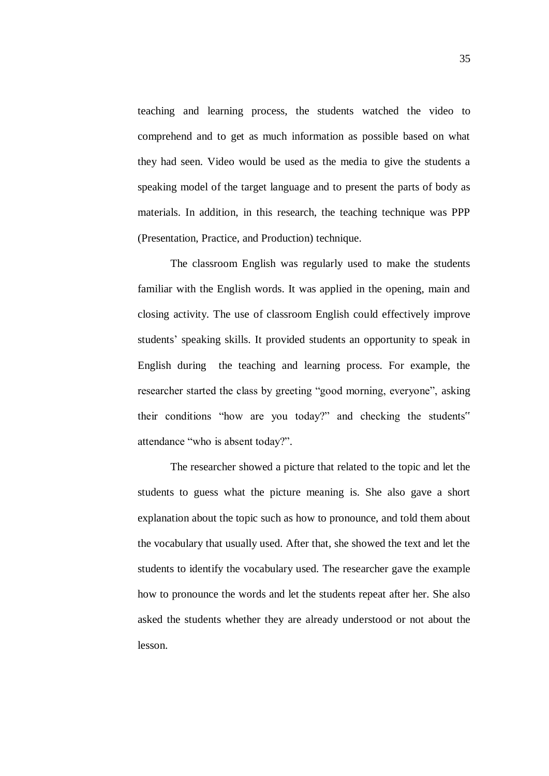teaching and learning process, the students watched the video to comprehend and to get as much information as possible based on what they had seen. Video would be used as the media to give the students a speaking model of the target language and to present the parts of body as materials. In addition, in this research, the teaching technique was PPP (Presentation, Practice, and Production) technique.

The classroom English was regularly used to make the students familiar with the English words. It was applied in the opening, main and closing activity. The use of classroom English could effectively improve students' speaking skills. It provided students an opportunity to speak in English during the teaching and learning process. For example, the researcher started the class by greeting "good morning, everyone", asking their conditions "how are you today?" and checking the students" attendance "who is absent today?".

The researcher showed a picture that related to the topic and let the students to guess what the picture meaning is. She also gave a short explanation about the topic such as how to pronounce, and told them about the vocabulary that usually used. After that, she showed the text and let the students to identify the vocabulary used. The researcher gave the example how to pronounce the words and let the students repeat after her. She also asked the students whether they are already understood or not about the lesson.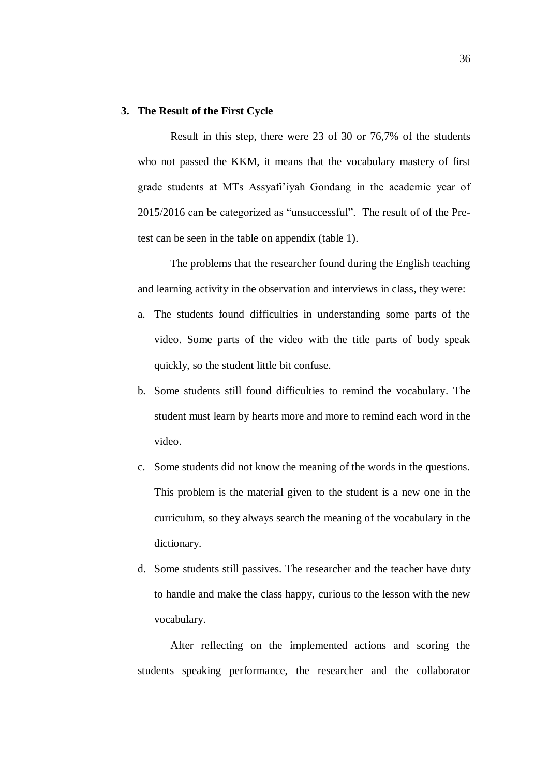### **3. The Result of the First Cycle**

Result in this step, there were 23 of 30 or 76,7% of the students who not passed the KKM, it means that the vocabulary mastery of first grade students at MTs Assyafi'iyah Gondang in the academic year of 2015/2016 can be categorized as "unsuccessful". The result of of the Pretest can be seen in the table on appendix (table 1).

The problems that the researcher found during the English teaching and learning activity in the observation and interviews in class, they were:

- a. The students found difficulties in understanding some parts of the video. Some parts of the video with the title parts of body speak quickly, so the student little bit confuse.
- b. Some students still found difficulties to remind the vocabulary. The student must learn by hearts more and more to remind each word in the video.
- c. Some students did not know the meaning of the words in the questions. This problem is the material given to the student is a new one in the curriculum, so they always search the meaning of the vocabulary in the dictionary.
- d. Some students still passives. The researcher and the teacher have duty to handle and make the class happy, curious to the lesson with the new vocabulary.

After reflecting on the implemented actions and scoring the students speaking performance, the researcher and the collaborator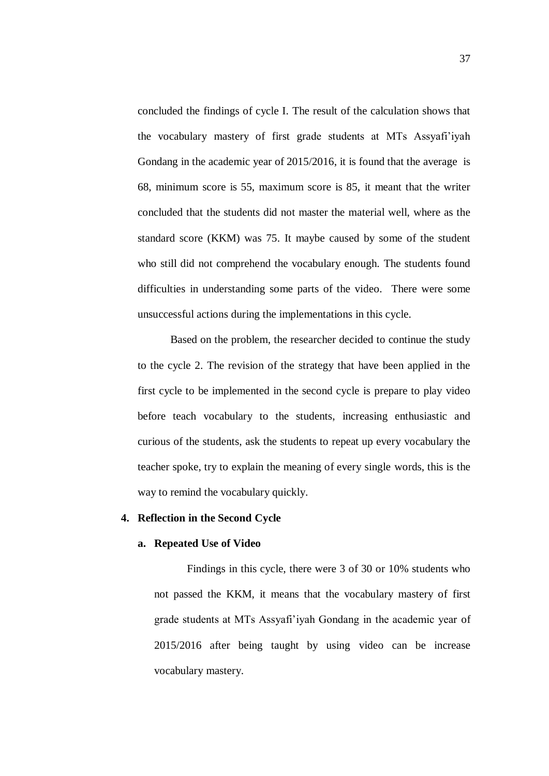concluded the findings of cycle I. The result of the calculation shows that the vocabulary mastery of first grade students at MTs Assyafi'iyah Gondang in the academic year of 2015/2016, it is found that the average is 68, minimum score is 55, maximum score is 85, it meant that the writer concluded that the students did not master the material well, where as the standard score (KKM) was 75. It maybe caused by some of the student who still did not comprehend the vocabulary enough. The students found difficulties in understanding some parts of the video. There were some unsuccessful actions during the implementations in this cycle.

Based on the problem, the researcher decided to continue the study to the cycle 2. The revision of the strategy that have been applied in the first cycle to be implemented in the second cycle is prepare to play video before teach vocabulary to the students, increasing enthusiastic and curious of the students, ask the students to repeat up every vocabulary the teacher spoke, try to explain the meaning of every single words, this is the way to remind the vocabulary quickly.

### **4. Reflection in the Second Cycle**

#### **a. Repeated Use of Video**

Findings in this cycle, there were 3 of 30 or 10% students who not passed the KKM, it means that the vocabulary mastery of first grade students at MTs Assyafi'iyah Gondang in the academic year of 2015/2016 after being taught by using video can be increase vocabulary mastery.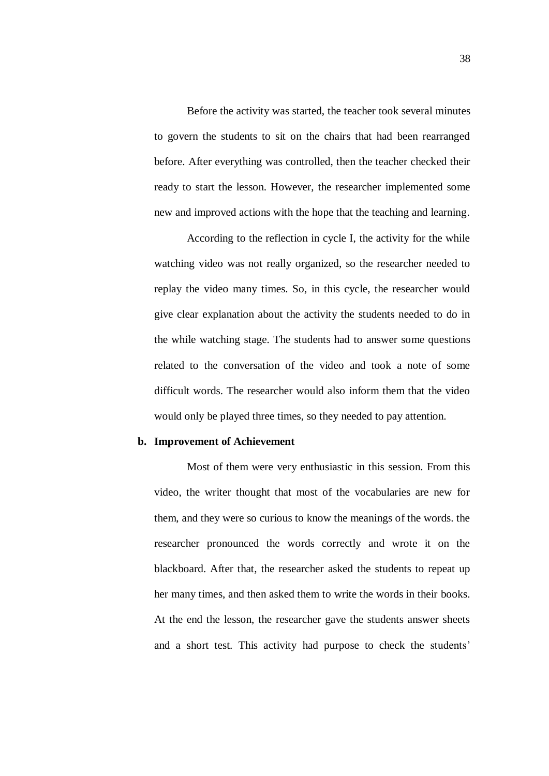Before the activity was started, the teacher took several minutes to govern the students to sit on the chairs that had been rearranged before. After everything was controlled, then the teacher checked their ready to start the lesson. However, the researcher implemented some new and improved actions with the hope that the teaching and learning.

According to the reflection in cycle I, the activity for the while watching video was not really organized, so the researcher needed to replay the video many times. So, in this cycle, the researcher would give clear explanation about the activity the students needed to do in the while watching stage. The students had to answer some questions related to the conversation of the video and took a note of some difficult words. The researcher would also inform them that the video would only be played three times, so they needed to pay attention.

# **b. Improvement of Achievement**

Most of them were very enthusiastic in this session. From this video, the writer thought that most of the vocabularies are new for them, and they were so curious to know the meanings of the words. the researcher pronounced the words correctly and wrote it on the blackboard. After that, the researcher asked the students to repeat up her many times, and then asked them to write the words in their books. At the end the lesson, the researcher gave the students answer sheets and a short test. This activity had purpose to check the students'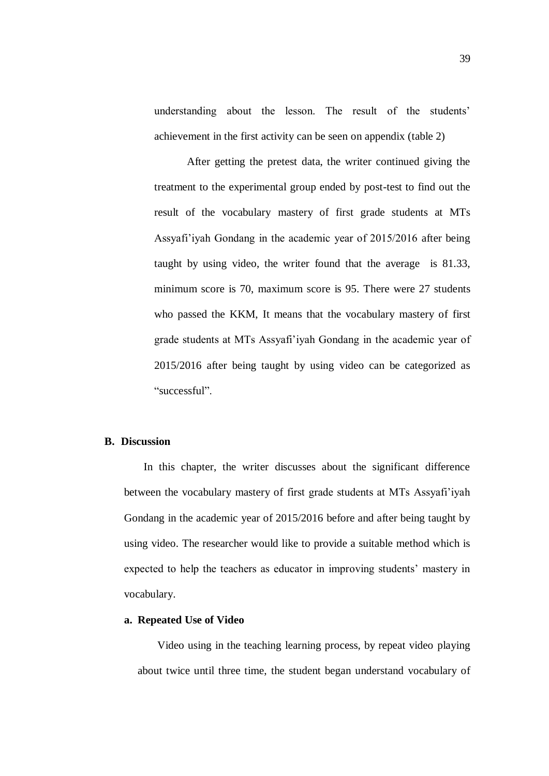understanding about the lesson. The result of the students' achievement in the first activity can be seen on appendix (table 2)

After getting the pretest data, the writer continued giving the treatment to the experimental group ended by post-test to find out the result of the vocabulary mastery of first grade students at MTs Assyafi'iyah Gondang in the academic year of 2015/2016 after being taught by using video, the writer found that the average is 81.33, minimum score is 70, maximum score is 95. There were 27 students who passed the KKM, It means that the vocabulary mastery of first grade students at MTs Assyafi'iyah Gondang in the academic year of 2015/2016 after being taught by using video can be categorized as "successful".

## **B. Discussion**

In this chapter, the writer discusses about the significant difference between the vocabulary mastery of first grade students at MTs Assyafi'iyah Gondang in the academic year of 2015/2016 before and after being taught by using video. The researcher would like to provide a suitable method which is expected to help the teachers as educator in improving students' mastery in vocabulary.

# **a. Repeated Use of Video**

Video using in the teaching learning process, by repeat video playing about twice until three time, the student began understand vocabulary of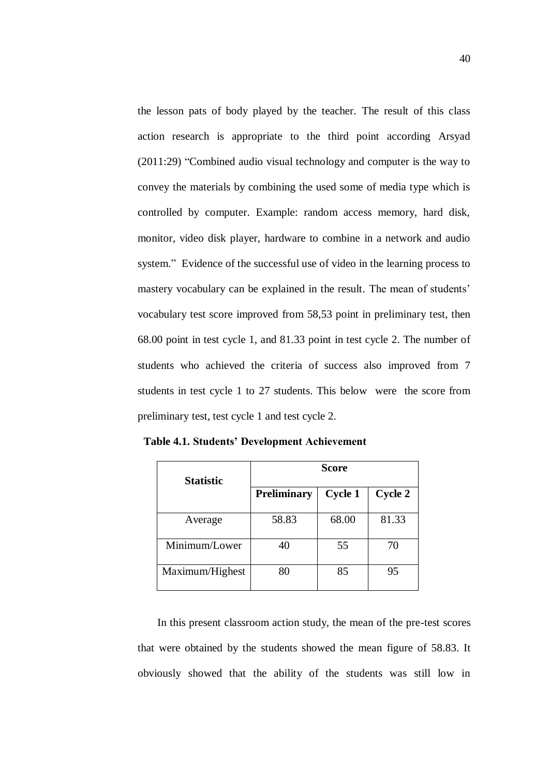the lesson pats of body played by the teacher. The result of this class action research is appropriate to the third point according Arsyad (2011:29) "Combined audio visual technology and computer is the way to convey the materials by combining the used some of media type which is controlled by computer. Example: random access memory, hard disk, monitor, video disk player, hardware to combine in a network and audio system." Evidence of the successful use of video in the learning process to mastery vocabulary can be explained in the result. The mean of students' vocabulary test score improved from 58,53 point in preliminary test, then 68.00 point in test cycle 1, and 81.33 point in test cycle 2. The number of students who achieved the criteria of success also improved from 7 students in test cycle 1 to 27 students. This below were the score from preliminary test, test cycle 1 and test cycle 2.

**Table 4.1. Students' Development Achievement**

| <b>Statistic</b> | <b>Score</b>       |                |         |
|------------------|--------------------|----------------|---------|
|                  | <b>Preliminary</b> | <b>Cycle 1</b> | Cycle 2 |
| Average          | 58.83              | 68.00          | 81.33   |
| Minimum/Lower    | 40                 | 55             | 70      |
| Maximum/Highest  | 80                 | 85             | 95      |

In this present classroom action study, the mean of the pre-test scores that were obtained by the students showed the mean figure of 58.83. It obviously showed that the ability of the students was still low in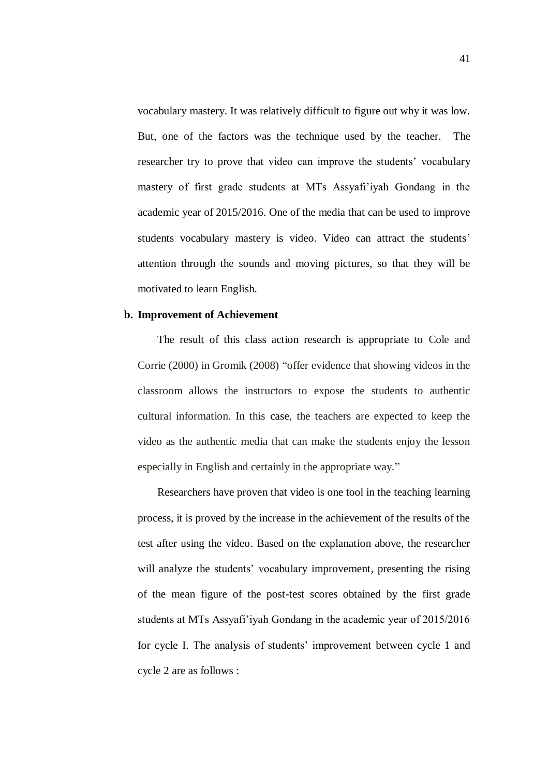vocabulary mastery. It was relatively difficult to figure out why it was low. But, one of the factors was the technique used by the teacher. The researcher try to prove that video can improve the students' vocabulary mastery of first grade students at MTs Assyafi'iyah Gondang in the academic year of 2015/2016. One of the media that can be used to improve students vocabulary mastery is video. Video can attract the students' attention through the sounds and moving pictures, so that they will be motivated to learn English.

#### **b. Improvement of Achievement**

The result of this class action research is appropriate to Cole and Corrie (2000) in Gromik (2008) "offer evidence that showing videos in the classroom allows the instructors to expose the students to authentic cultural information. In this case, the teachers are expected to keep the video as the authentic media that can make the students enjoy the lesson especially in English and certainly in the appropriate way."

Researchers have proven that video is one tool in the teaching learning process, it is proved by the increase in the achievement of the results of the test after using the video. Based on the explanation above, the researcher will analyze the students' vocabulary improvement, presenting the rising of the mean figure of the post-test scores obtained by the first grade students at MTs Assyafi'iyah Gondang in the academic year of 2015/2016 for cycle I. The analysis of students' improvement between cycle 1 and cycle 2 are as follows :